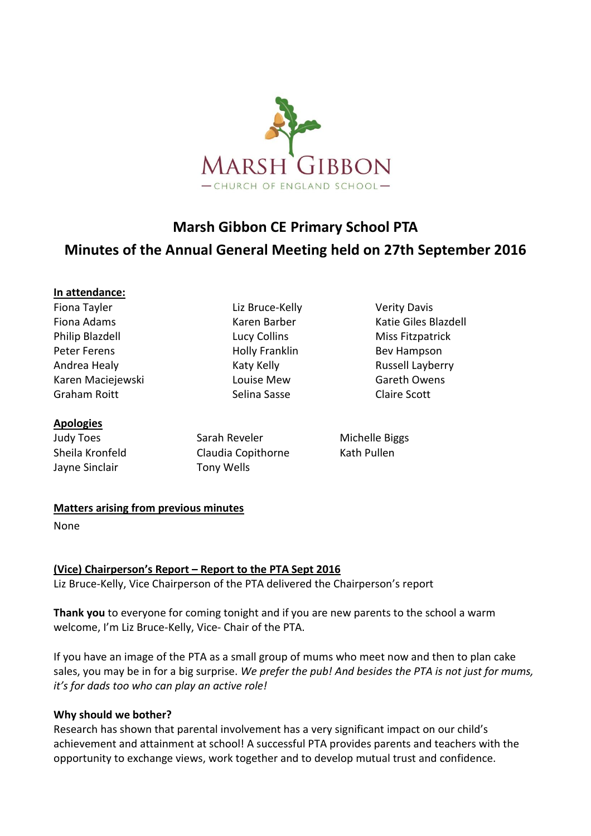

# **Marsh Gibbon CE Primary School PTA Minutes of the Annual General Meeting held on 27th September 2016**

### **In attendance:**

Fiona Tayler Liz Bruce-Kelly Verity Davis Philip Blazdell **Lucy Collins** Miss Fitzpatrick Peter Ferens **Example 2** Holly Franklin Bev Hampson Andrea Healy **Katy Kelly** Katy Kelly **Russell Layberry** Karen Maciejewski Louise Mew Gareth Owens Graham Roitt **Selina Sasse** Claire Scott

**Apologies**

Jayne Sinclair Tony Wells

Judy Toes Sarah Reveler Michelle Biggs Sheila Kronfeld Claudia Copithorne Kath Pullen

Fiona Adams **Karen Barber** Karen Barber Katie Giles Blazdell

### **Matters arising from previous minutes**

None

### **(Vice) Chairperson's Report – Report to the PTA Sept 2016**

Liz Bruce-Kelly, Vice Chairperson of the PTA delivered the Chairperson's report

**Thank you** to everyone for coming tonight and if you are new parents to the school a warm welcome, I'm Liz Bruce-Kelly, Vice- Chair of the PTA.

If you have an image of the PTA as a small group of mums who meet now and then to plan cake sales, you may be in for a big surprise. *We prefer the pub! And besides the PTA is not just for mums, it's for dads too who can play an active role!*

### **Why should we bother?**

Research has shown that parental involvement has a very significant impact on our child's achievement and attainment at school! A successful PTA provides parents and teachers with the opportunity to exchange views, work together and to develop mutual trust and confidence.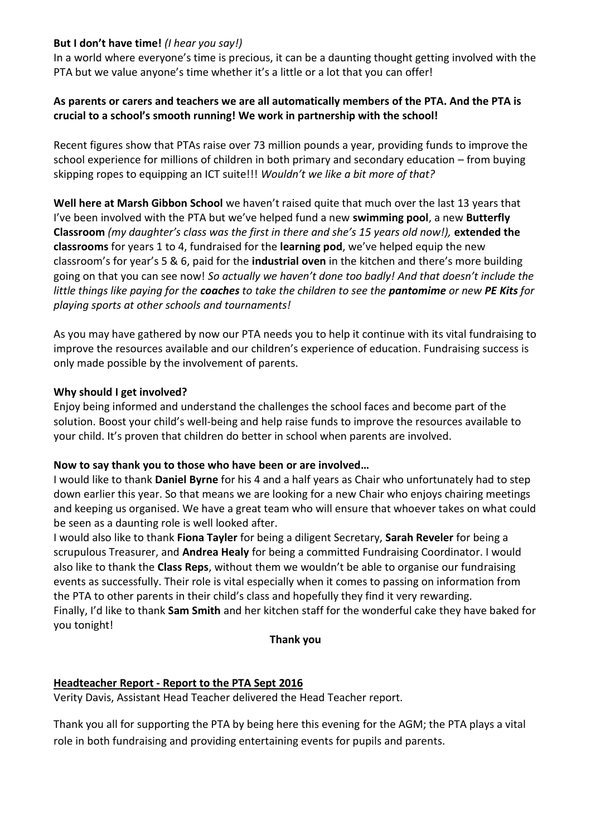### **But I don't have time!** *(I hear you say!)*

In a world where everyone's time is precious, it can be a daunting thought getting involved with the PTA but we value anyone's time whether it's a little or a lot that you can offer!

## **As parents or carers and teachers we are all automatically members of the PTA. And the PTA is crucial to a school's smooth running! We work in partnership with the school!**

Recent figures show that PTAs raise over 73 million pounds a year, providing funds to improve the school experience for millions of children in both primary and secondary education – from buying skipping ropes to equipping an ICT suite!!! *Wouldn't we like a bit more of that?*

**Well here at Marsh Gibbon School** we haven't raised quite that much over the last 13 years that I've been involved with the PTA but we've helped fund a new **swimming pool**, a new **Butterfly Classroom** *(my daughter's class was the first in there and she's 15 years old now!),* **extended the classrooms** for years 1 to 4, fundraised for the **learning pod**, we've helped equip the new classroom's for year's 5 & 6, paid for the **industrial oven** in the kitchen and there's more building going on that you can see now! *So actually we haven't done too badly! And that doesn't include the little things like paying for the coaches to take the children to see the pantomime or new PE Kits for playing sports at other schools and tournaments!*

As you may have gathered by now our PTA needs you to help it continue with its vital fundraising to improve the resources available and our children's experience of education. Fundraising success is only made possible by the involvement of parents.

## **Why should I get involved?**

Enjoy being informed and understand the challenges the school faces and become part of the solution. Boost your child's well-being and help raise funds to improve the resources available to your child. It's proven that children do better in school when parents are involved.

### **Now to say thank you to those who have been or are involved…**

I would like to thank **Daniel Byrne** for his 4 and a half years as Chair who unfortunately had to step down earlier this year. So that means we are looking for a new Chair who enjoys chairing meetings and keeping us organised. We have a great team who will ensure that whoever takes on what could be seen as a daunting role is well looked after.

I would also like to thank **Fiona Tayler** for being a diligent Secretary, **Sarah Reveler** for being a scrupulous Treasurer, and **Andrea Healy** for being a committed Fundraising Coordinator. I would also like to thank the **Class Reps**, without them we wouldn't be able to organise our fundraising events as successfully. Their role is vital especially when it comes to passing on information from the PTA to other parents in their child's class and hopefully they find it very rewarding. Finally, I'd like to thank **Sam Smith** and her kitchen staff for the wonderful cake they have baked for you tonight!

### **Thank you**

# **Headteacher Report - Report to the PTA Sept 2016**

Verity Davis, Assistant Head Teacher delivered the Head Teacher report.

Thank you all for supporting the PTA by being here this evening for the AGM; the PTA plays a vital role in both fundraising and providing entertaining events for pupils and parents.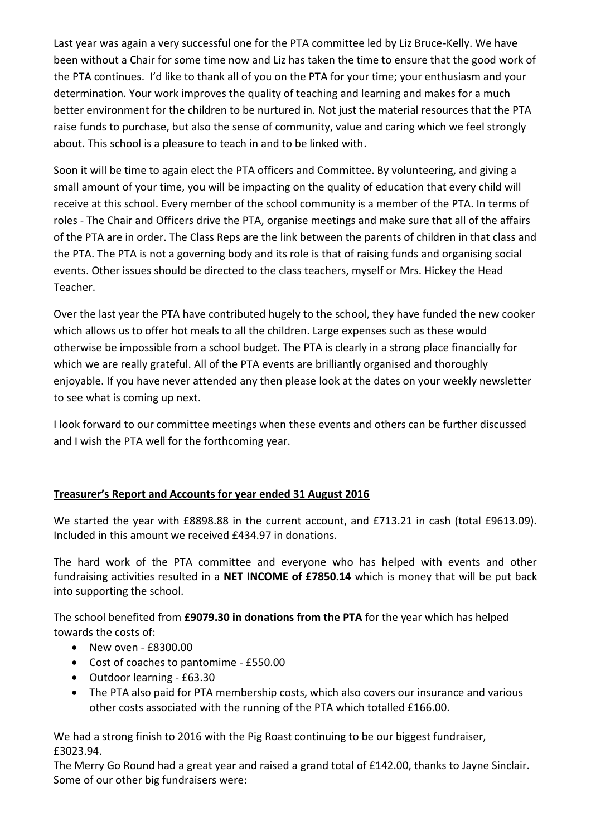Last year was again a very successful one for the PTA committee led by Liz Bruce-Kelly. We have been without a Chair for some time now and Liz has taken the time to ensure that the good work of the PTA continues. I'd like to thank all of you on the PTA for your time; your enthusiasm and your determination. Your work improves the quality of teaching and learning and makes for a much better environment for the children to be nurtured in. Not just the material resources that the PTA raise funds to purchase, but also the sense of community, value and caring which we feel strongly about. This school is a pleasure to teach in and to be linked with.

Soon it will be time to again elect the PTA officers and Committee. By volunteering, and giving a small amount of your time, you will be impacting on the quality of education that every child will receive at this school. Every member of the school community is a member of the PTA. In terms of roles - The Chair and Officers drive the PTA, organise meetings and make sure that all of the affairs of the PTA are in order. The Class Reps are the link between the parents of children in that class and the PTA. The PTA is not a governing body and its role is that of raising funds and organising social events. Other issues should be directed to the class teachers, myself or Mrs. Hickey the Head Teacher.

Over the last year the PTA have contributed hugely to the school, they have funded the new cooker which allows us to offer hot meals to all the children. Large expenses such as these would otherwise be impossible from a school budget. The PTA is clearly in a strong place financially for which we are really grateful. All of the PTA events are brilliantly organised and thoroughly enjoyable. If you have never attended any then please look at the dates on your weekly newsletter to see what is coming up next.

I look forward to our committee meetings when these events and others can be further discussed and I wish the PTA well for the forthcoming year.

# **Treasurer's Report and Accounts for year ended 31 August 2016**

We started the year with £8898.88 in the current account, and £713.21 in cash (total £9613.09). Included in this amount we received £434.97 in donations.

The hard work of the PTA committee and everyone who has helped with events and other fundraising activities resulted in a **NET INCOME of £7850.14** which is money that will be put back into supporting the school.

The school benefited from **£9079.30 in donations from the PTA** for the year which has helped towards the costs of:

- New oven £8300.00
- Cost of coaches to pantomime £550.00
- Outdoor learning £63.30
- The PTA also paid for PTA membership costs, which also covers our insurance and various other costs associated with the running of the PTA which totalled £166.00.

We had a strong finish to 2016 with the Pig Roast continuing to be our biggest fundraiser, £3023.94.

The Merry Go Round had a great year and raised a grand total of £142.00, thanks to Jayne Sinclair. Some of our other big fundraisers were: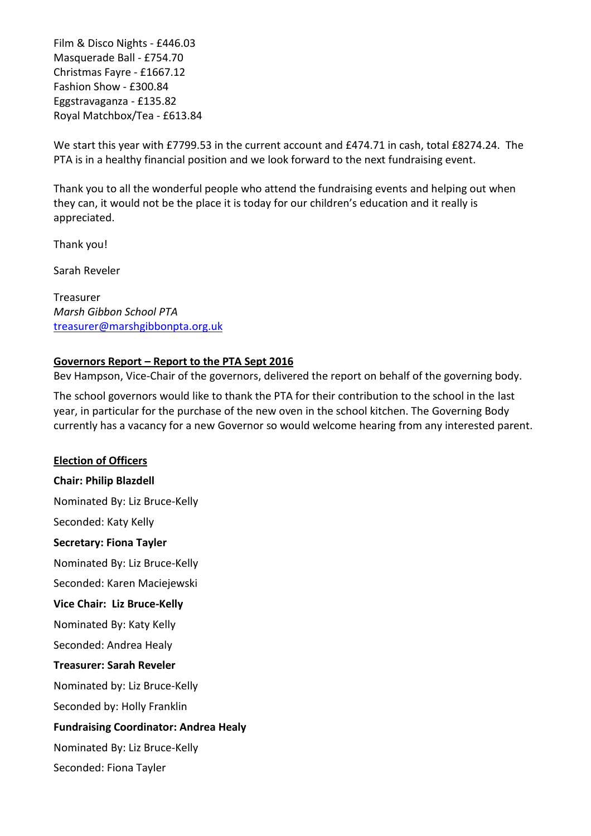Film & Disco Nights - £446.03 Masquerade Ball - £754.70 Christmas Fayre - £1667.12 Fashion Show - £300.84 Eggstravaganza - £135.82 Royal Matchbox/Tea - £613.84

We start this year with £7799.53 in the current account and £474.71 in cash, total £8274.24. The PTA is in a healthy financial position and we look forward to the next fundraising event.

Thank you to all the wonderful people who attend the fundraising events and helping out when they can, it would not be the place it is today for our children's education and it really is appreciated.

Thank you!

Sarah Reveler

Treasurer *Marsh Gibbon School PTA* [treasurer@marshgibbonpta.org.uk](mailto:treasurer@marshgibbonpta.org.uk)

### **Governors Report – Report to the PTA Sept 2016**

Bev Hampson, Vice-Chair of the governors, delivered the report on behalf of the governing body.

The school governors would like to thank the PTA for their contribution to the school in the last year, in particular for the purchase of the new oven in the school kitchen. The Governing Body currently has a vacancy for a new Governor so would welcome hearing from any interested parent.

### **Election of Officers**

**Chair: Philip Blazdell** Nominated By: Liz Bruce-Kelly Seconded: Katy Kelly **Secretary: Fiona Tayler** Nominated By: Liz Bruce-Kelly Seconded: Karen Maciejewski **Vice Chair: Liz Bruce-Kelly** Nominated By: Katy Kelly Seconded: Andrea Healy **Treasurer: Sarah Reveler** Nominated by: Liz Bruce-Kelly Seconded by: Holly Franklin **Fundraising Coordinator: Andrea Healy** Nominated By: Liz Bruce-Kelly Seconded: Fiona Tayler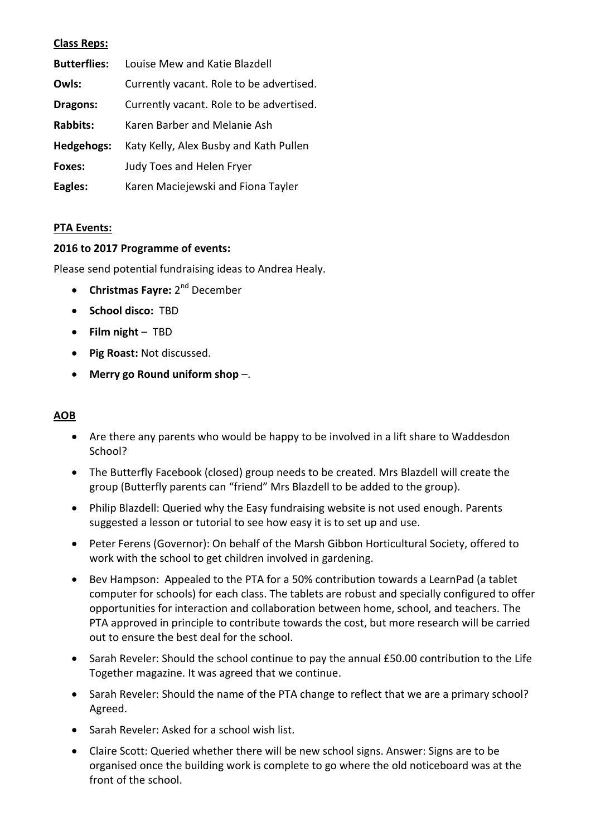### **Class Reps:**

| <b>Butterflies:</b> | Louise Mew and Katie Blazdell            |
|---------------------|------------------------------------------|
| Owls:               | Currently vacant. Role to be advertised. |
| Dragons:            | Currently vacant. Role to be advertised. |
| <b>Rabbits:</b>     | Karen Barber and Melanie Ash             |
| Hedgehogs:          | Katy Kelly, Alex Busby and Kath Pullen   |
| Foxes:              | <b>Judy Toes and Helen Fryer</b>         |
| Eagles:             | Karen Maciejewski and Fiona Tayler       |

### **PTA Events:**

### **2016 to 2017 Programme of events:**

Please send potential fundraising ideas to Andrea Healy.

- **Christmas Fayre:** 2<sup>nd</sup> December
- **School disco:** TBD
- **Film night** TBD
- **Pig Roast:** Not discussed.
- **Merry go Round uniform shop** –.

### **AOB**

- Are there any parents who would be happy to be involved in a lift share to Waddesdon School?
- The Butterfly Facebook (closed) group needs to be created. Mrs Blazdell will create the group (Butterfly parents can "friend" Mrs Blazdell to be added to the group).
- Philip Blazdell: Queried why the Easy fundraising website is not used enough. Parents suggested a lesson or tutorial to see how easy it is to set up and use.
- Peter Ferens (Governor): On behalf of the Marsh Gibbon Horticultural Society, offered to work with the school to get children involved in gardening.
- Bev Hampson: Appealed to the PTA for a 50% contribution towards a LearnPad (a tablet computer for schools) for each class. The tablets are robust and specially configured to offer opportunities for interaction and collaboration between home, school, and teachers. The PTA approved in principle to contribute towards the cost, but more research will be carried out to ensure the best deal for the school.
- Sarah Reveler: Should the school continue to pay the annual £50.00 contribution to the Life Together magazine. It was agreed that we continue.
- Sarah Reveler: Should the name of the PTA change to reflect that we are a primary school? Agreed.
- Sarah Reveler: Asked for a school wish list.
- Claire Scott: Queried whether there will be new school signs. Answer: Signs are to be organised once the building work is complete to go where the old noticeboard was at the front of the school.